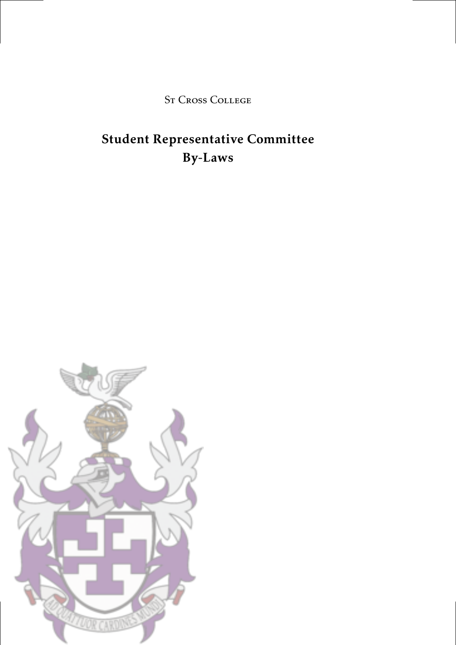St Cross College

### Student Representative Committee By-Laws

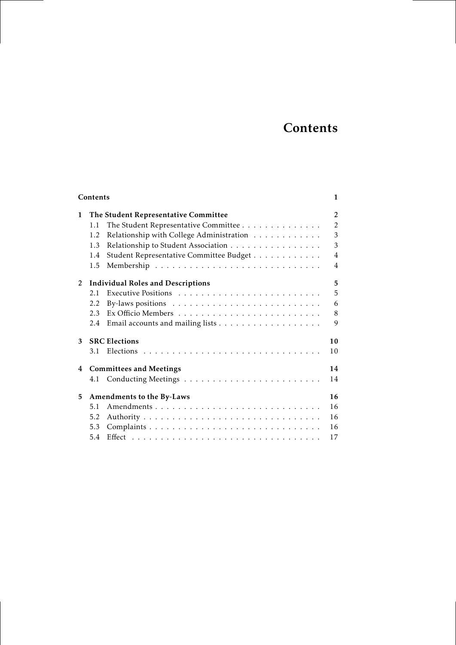### **Contents**

|   | Contents                                        | 1              |
|---|-------------------------------------------------|----------------|
| 1 | The Student Representative Committee            | 2              |
|   | The Student Representative Committee<br>1.1     | $\overline{2}$ |
|   | Relationship with College Administration<br>1.2 | 3              |
|   | Relationship to Student Association<br>1.3      | 3              |
|   | Student Representative Committee Budget<br>1.4  | 4              |
|   | 1.5                                             | 4              |
| 2 | <b>Individual Roles and Descriptions</b>        | 5              |
|   | 2.1                                             | 5              |
|   | 2.2                                             | 6              |
|   | 2.3                                             | 8              |
|   | 2.4                                             | 9              |
| 3 | <b>SRC</b> Elections                            | 10             |
|   | 3.1                                             | 10             |
| 4 | <b>Committees and Meetings</b>                  | 14             |
|   | 4.1                                             | 14             |
| 5 | Amendments to the By-Laws                       | 16             |
|   | 5.1                                             | 16             |
|   | 5.2                                             | 16             |
|   | 5.3                                             | 16             |
|   | 5.4                                             | 17             |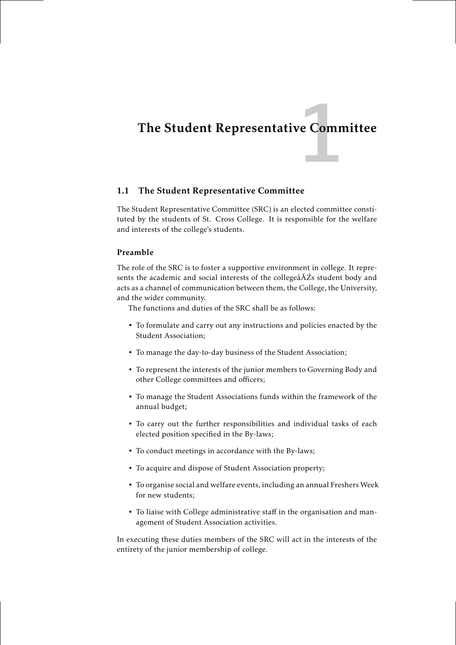# ve Comm<br>1988 - Comm<br>1988 - Comm The Student Representative Committee

#### 1.1 The Student Representative Committee

The Student Representative Committee (SRC) is an elected committee constituted by the students of St. Cross College. It is responsible for the welfare and interests of the college's students.

#### Preamble

The role of the SRC is to foster a supportive environment in college. It represents the academic and social interests of the collegeâĂŹs student body and acts as a channel of communication between them, the College, the University, and the wider community.

The functions and duties of the SRC shall be as follows:

- To formulate and carry out any instructions and policies enacted by the Student Association;
- To manage the day-to-day business of the Student Association;
- To represent the interests of the junior members to Governing Body and other College committees and officers;
- To manage the Student Associations funds within the framework of the annual budget;
- To carry out the further responsibilities and individual tasks of each elected position specified in the By-laws;
- To conduct meetings in accordance with the By-laws;
- To acquire and dispose of Student Association property;
- To organise social and welfare events, including an annual Freshers Week for new students;
- To liaise with College administrative staff in the organisation and management of Student Association activities.

In executing these duties members of the SRC will act in the interests of the entirety of the junior membership of college.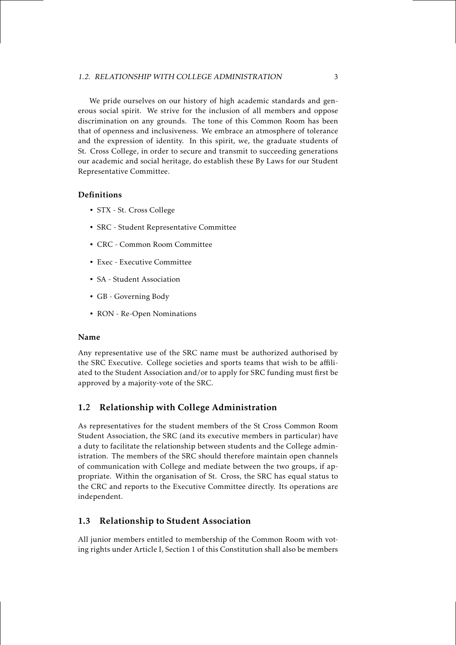#### 1.2. RELATIONSHIP WITH COLLEGE ADMINISTRATION 3

We pride ourselves on our history of high academic standards and generous social spirit. We strive for the inclusion of all members and oppose discrimination on any grounds. The tone of this Common Room has been that of openness and inclusiveness. We embrace an atmosphere of tolerance and the expression of identity. In this spirit, we, the graduate students of St. Cross College, in order to secure and transmit to succeeding generations our academic and social heritage, do establish these By Laws for our Student Representative Committee.

#### Definitions

- STX St. Cross College
- SRC Student Representative Committee
- CRC Common Room Committee
- Exec Executive Committee
- SA Student Association
- GB Governing Body
- RON Re-Open Nominations

#### Name

Any representative use of the SRC name must be authorized authorised by the SRC Executive. College societies and sports teams that wish to be affiliated to the Student Association and/or to apply for SRC funding must first be approved by a majority-vote of the SRC.

#### 1.2 Relationship with College Administration

As representatives for the student members of the St Cross Common Room Student Association, the SRC (and its executive members in particular) have a duty to facilitate the relationship between students and the College administration. The members of the SRC should therefore maintain open channels of communication with College and mediate between the two groups, if appropriate. Within the organisation of St. Cross, the SRC has equal status to the CRC and reports to the Executive Committee directly. Its operations are independent.

#### 1.3 Relationship to Student Association

All junior members entitled to membership of the Common Room with voting rights under Article I, Section 1 of this Constitution shall also be members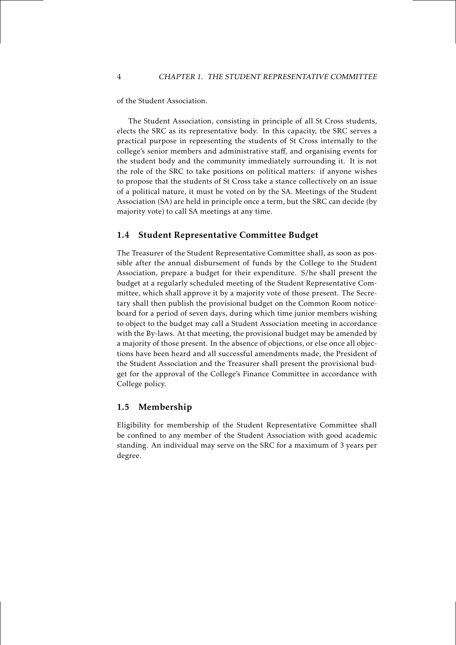of the Student Association.

The Student Association, consisting in principle of all St Cross students, elects the SRC as its representative body. In this capacity, the SRC serves a practical purpose in representing the students of St Cross internally to the college's senior members and administrative staff, and organising events for the student body and the community immediately surrounding it. It is not the role of the SRC to take positions on political matters: if anyone wishes to propose that the students of St Cross take a stance collectively on an issue of a political nature, it must be voted on by the SA. Meetings of the Student Association (SA) are held in principle once a term, but the SRC can decide (by majority vote) to call SA meetings at any time.

#### 1.4 Student Representative Committee Budget

The Treasurer of the Student Representative Committee shall, as soon as possible after the annual disbursement of funds by the College to the Student Association, prepare a budget for their expenditure. S/he shall present the budget at a regularly scheduled meeting of the Student Representative Committee, which shall approve it by a majority vote of those present. The Secretary shall then publish the provisional budget on the Common Room noticeboard for a period of seven days, during which time junior members wishing to object to the budget may call a Student Association meeting in accordance with the By-laws. At that meeting, the provisional budget may be amended by a majority of those present. In the absence of objections, or else once all objections have been heard and all successful amendments made, the President of the Student Association and the Treasurer shall present the provisional budget for the approval of the College's Finance Committee in accordance with College policy.

#### 1.5 Membership

Eligibility for membership of the Student Representative Committee shall be confined to any member of the Student Association with good academic standing. An individual may serve on the SRC for a maximum of 3 years per degree.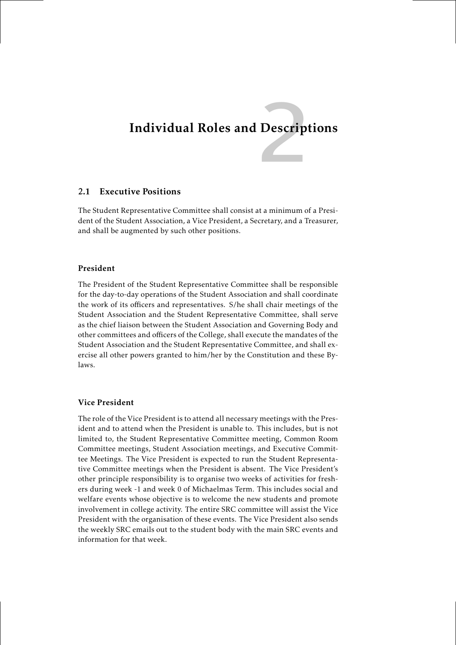# Descript Individual Roles and Descriptions

#### 2.1 Executive Positions

The Student Representative Committee shall consist at a minimum of a President of the Student Association, a Vice President, a Secretary, and a Treasurer, and shall be augmented by such other positions.

#### President

The President of the Student Representative Committee shall be responsible for the day-to-day operations of the Student Association and shall coordinate the work of its officers and representatives. S/he shall chair meetings of the Student Association and the Student Representative Committee, shall serve as the chief liaison between the Student Association and Governing Body and other committees and officers of the College, shall execute the mandates of the Student Association and the Student Representative Committee, and shall exercise all other powers granted to him/her by the Constitution and these Bylaws.

#### Vice President

The role of the Vice President is to attend all necessary meetings with the President and to attend when the President is unable to. This includes, but is not limited to, the Student Representative Committee meeting, Common Room Committee meetings, Student Association meetings, and Executive Committee Meetings. The Vice President is expected to run the Student Representative Committee meetings when the President is absent. The Vice President's other principle responsibility is to organise two weeks of activities for freshers during week -1 and week 0 of Michaelmas Term. This includes social and welfare events whose objective is to welcome the new students and promote involvement in college activity. The entire SRC committee will assist the Vice President with the organisation of these events. The Vice President also sends the weekly SRC emails out to the student body with the main SRC events and information for that week.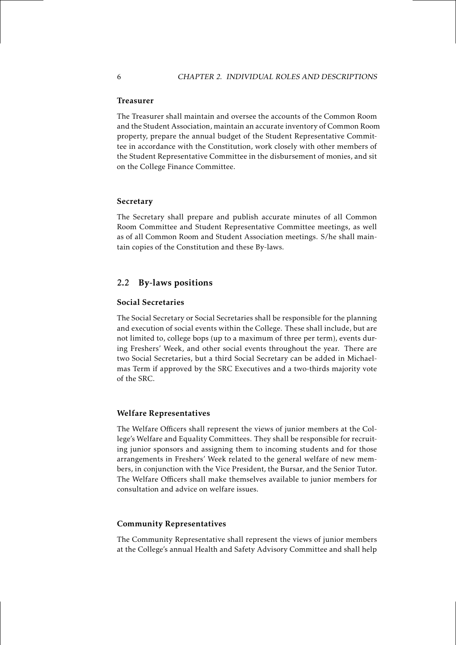#### Treasurer

The Treasurer shall maintain and oversee the accounts of the Common Room and the Student Association, maintain an accurate inventory of Common Room property, prepare the annual budget of the Student Representative Committee in accordance with the Constitution, work closely with other members of the Student Representative Committee in the disbursement of monies, and sit on the College Finance Committee.

#### Secretary

The Secretary shall prepare and publish accurate minutes of all Common Room Committee and Student Representative Committee meetings, as well as of all Common Room and Student Association meetings. S/he shall maintain copies of the Constitution and these By-laws.

#### 2.2 By-laws positions

#### Social Secretaries

The Social Secretary or Social Secretaries shall be responsible for the planning and execution of social events within the College. These shall include, but are not limited to, college bops (up to a maximum of three per term), events during Freshers' Week, and other social events throughout the year. There are two Social Secretaries, but a third Social Secretary can be added in Michaelmas Term if approved by the SRC Executives and a two-thirds majority vote of the SRC.

#### Welfare Representatives

The Welfare Officers shall represent the views of junior members at the College's Welfare and Equality Committees. They shall be responsible for recruiting junior sponsors and assigning them to incoming students and for those arrangements in Freshers' Week related to the general welfare of new members, in conjunction with the Vice President, the Bursar, and the Senior Tutor. The Welfare Officers shall make themselves available to junior members for consultation and advice on welfare issues.

#### Community Representatives

The Community Representative shall represent the views of junior members at the College's annual Health and Safety Advisory Committee and shall help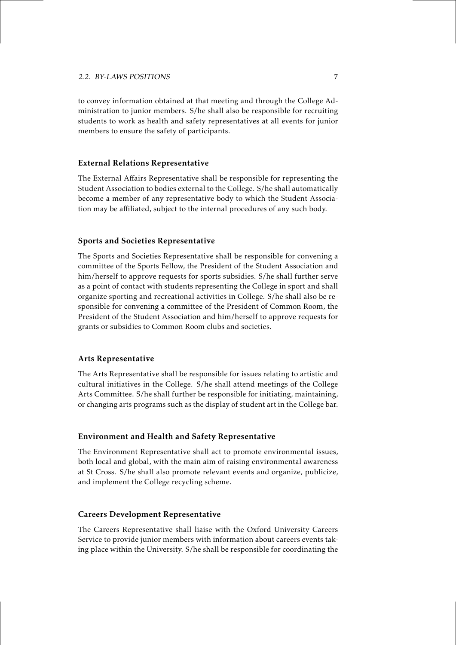to convey information obtained at that meeting and through the College Administration to junior members. S/he shall also be responsible for recruiting students to work as health and safety representatives at all events for junior members to ensure the safety of participants.

#### External Relations Representative

The External Affairs Representative shall be responsible for representing the Student Association to bodies external to the College. S/he shall automatically become a member of any representative body to which the Student Association may be affiliated, subject to the internal procedures of any such body.

#### Sports and Societies Representative

The Sports and Societies Representative shall be responsible for convening a committee of the Sports Fellow, the President of the Student Association and him/herself to approve requests for sports subsidies. S/he shall further serve as a point of contact with students representing the College in sport and shall organize sporting and recreational activities in College. S/he shall also be responsible for convening a committee of the President of Common Room, the President of the Student Association and him/herself to approve requests for grants or subsidies to Common Room clubs and societies.

#### Arts Representative

The Arts Representative shall be responsible for issues relating to artistic and cultural initiatives in the College. S/he shall attend meetings of the College Arts Committee. S/he shall further be responsible for initiating, maintaining, or changing arts programs such as the display of student art in the College bar.

#### Environment and Health and Safety Representative

The Environment Representative shall act to promote environmental issues, both local and global, with the main aim of raising environmental awareness at St Cross. S/he shall also promote relevant events and organize, publicize, and implement the College recycling scheme.

#### Careers Development Representative

The Careers Representative shall liaise with the Oxford University Careers Service to provide junior members with information about careers events taking place within the University. S/he shall be responsible for coordinating the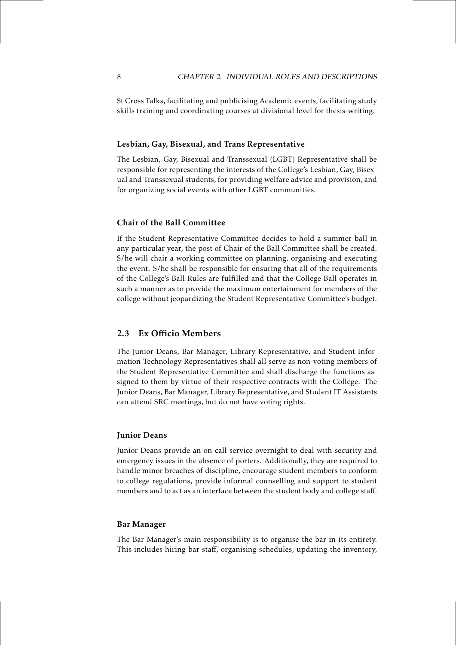St Cross Talks, facilitating and publicising Academic events, facilitating study skills training and coordinating courses at divisional level for thesis-writing.

#### Lesbian, Gay, Bisexual, and Trans Representative

The Lesbian, Gay, Bisexual and Transsexual (LGBT) Representative shall be responsible for representing the interests of the College's Lesbian, Gay, Bisexual and Transsexual students, for providing welfare advice and provision, and for organizing social events with other LGBT communities.

#### Chair of the Ball Committee

If the Student Representative Committee decides to hold a summer ball in any particular year, the post of Chair of the Ball Committee shall be created. S/he will chair a working committee on planning, organising and executing the event. S/he shall be responsible for ensuring that all of the requirements of the College's Ball Rules are fulfilled and that the College Ball operates in such a manner as to provide the maximum entertainment for members of the college without jeopardizing the Student Representative Committee's budget.

#### 2.3 Ex Officio Members

The Junior Deans, Bar Manager, Library Representative, and Student Information Technology Representatives shall all serve as non-voting members of the Student Representative Committee and shall discharge the functions assigned to them by virtue of their respective contracts with the College. The Junior Deans, Bar Manager, Library Representative, and Student IT Assistants can attend SRC meetings, but do not have voting rights.

#### Junior Deans

Junior Deans provide an on-call service overnight to deal with security and emergency issues in the absence of porters. Additionally, they are required to handle minor breaches of discipline, encourage student members to conform to college regulations, provide informal counselling and support to student members and to act as an interface between the student body and college staff.

#### Bar Manager

The Bar Manager's main responsibility is to organise the bar in its entirety. This includes hiring bar staff, organising schedules, updating the inventory,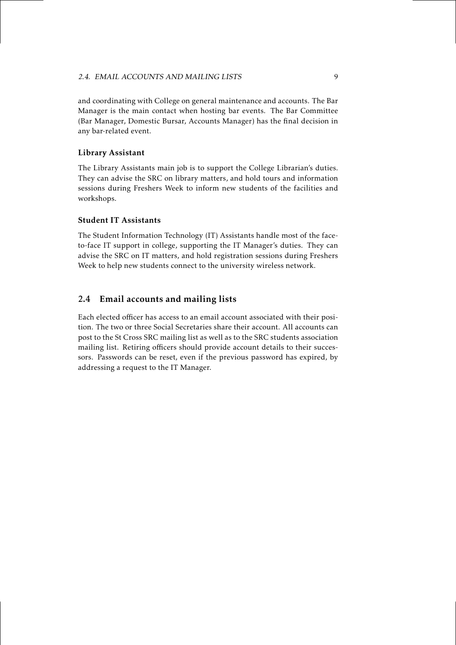and coordinating with College on general maintenance and accounts. The Bar Manager is the main contact when hosting bar events. The Bar Committee (Bar Manager, Domestic Bursar, Accounts Manager) has the final decision in any bar-related event.

#### Library Assistant

The Library Assistants main job is to support the College Librarian's duties. They can advise the SRC on library matters, and hold tours and information sessions during Freshers Week to inform new students of the facilities and workshops.

#### Student IT Assistants

The Student Information Technology (IT) Assistants handle most of the faceto-face IT support in college, supporting the IT Manager's duties. They can advise the SRC on IT matters, and hold registration sessions during Freshers Week to help new students connect to the university wireless network.

#### 2.4 Email accounts and mailing lists

Each elected officer has access to an email account associated with their position. The two or three Social Secretaries share their account. All accounts can post to the St Cross SRC mailing list as well as to the SRC students association mailing list. Retiring officers should provide account details to their successors. Passwords can be reset, even if the previous password has expired, by addressing a request to the IT Manager.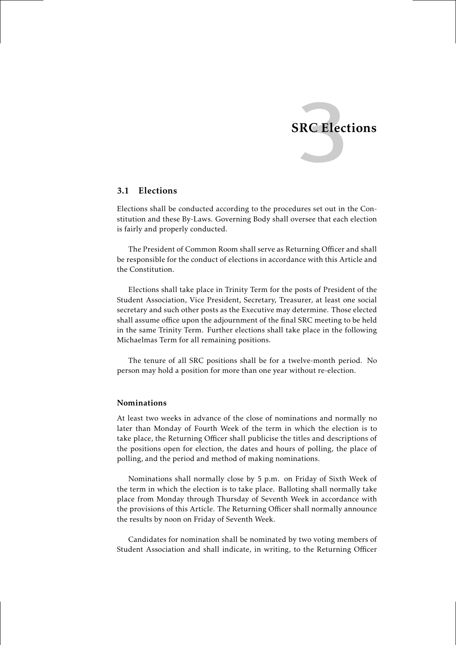

#### 3.1 Elections

Elections shall be conducted according to the procedures set out in the Constitution and these By-Laws. Governing Body shall oversee that each election is fairly and properly conducted.

The President of Common Room shall serve as Returning Officer and shall be responsible for the conduct of elections in accordance with this Article and the Constitution.

Elections shall take place in Trinity Term for the posts of President of the Student Association, Vice President, Secretary, Treasurer, at least one social secretary and such other posts as the Executive may determine. Those elected shall assume office upon the adjournment of the final SRC meeting to be held in the same Trinity Term. Further elections shall take place in the following Michaelmas Term for all remaining positions.

The tenure of all SRC positions shall be for a twelve-month period. No person may hold a position for more than one year without re-election.

#### Nominations

At least two weeks in advance of the close of nominations and normally no later than Monday of Fourth Week of the term in which the election is to take place, the Returning Officer shall publicise the titles and descriptions of the positions open for election, the dates and hours of polling, the place of polling, and the period and method of making nominations.

Nominations shall normally close by 5 p.m. on Friday of Sixth Week of the term in which the election is to take place. Balloting shall normally take place from Monday through Thursday of Seventh Week in accordance with the provisions of this Article. The Returning Officer shall normally announce the results by noon on Friday of Seventh Week.

Candidates for nomination shall be nominated by two voting members of Student Association and shall indicate, in writing, to the Returning Officer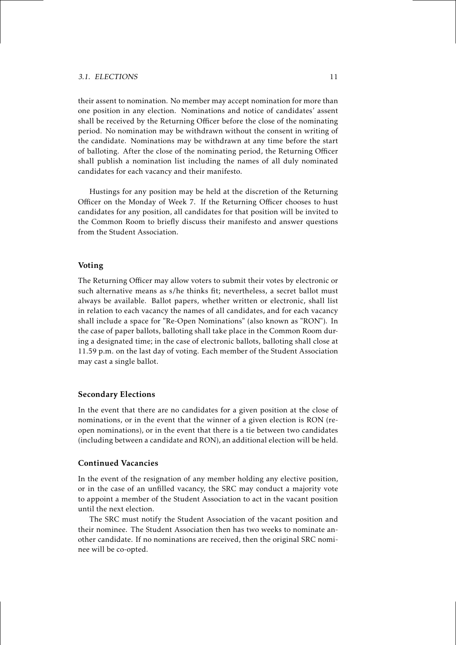#### 3.1. ELECTIONS 11

their assent to nomination. No member may accept nomination for more than one position in any election. Nominations and notice of candidates' assent shall be received by the Returning Officer before the close of the nominating period. No nomination may be withdrawn without the consent in writing of the candidate. Nominations may be withdrawn at any time before the start of balloting. After the close of the nominating period, the Returning Officer shall publish a nomination list including the names of all duly nominated candidates for each vacancy and their manifesto.

Hustings for any position may be held at the discretion of the Returning Officer on the Monday of Week 7. If the Returning Officer chooses to hust candidates for any position, all candidates for that position will be invited to the Common Room to briefly discuss their manifesto and answer questions from the Student Association.

#### Voting

The Returning Officer may allow voters to submit their votes by electronic or such alternative means as s/he thinks fit; nevertheless, a secret ballot must always be available. Ballot papers, whether written or electronic, shall list in relation to each vacancy the names of all candidates, and for each vacancy shall include a space for "Re-Open Nominations" (also known as "RON"). In the case of paper ballots, balloting shall take place in the Common Room during a designated time; in the case of electronic ballots, balloting shall close at 11.59 p.m. on the last day of voting. Each member of the Student Association may cast a single ballot.

#### Secondary Elections

In the event that there are no candidates for a given position at the close of nominations, or in the event that the winner of a given election is RON (reopen nominations), or in the event that there is a tie between two candidates (including between a candidate and RON), an additional election will be held.

#### Continued Vacancies

In the event of the resignation of any member holding any elective position, or in the case of an unfilled vacancy, the SRC may conduct a majority vote to appoint a member of the Student Association to act in the vacant position until the next election.

The SRC must notify the Student Association of the vacant position and their nominee. The Student Association then has two weeks to nominate another candidate. If no nominations are received, then the original SRC nominee will be co-opted.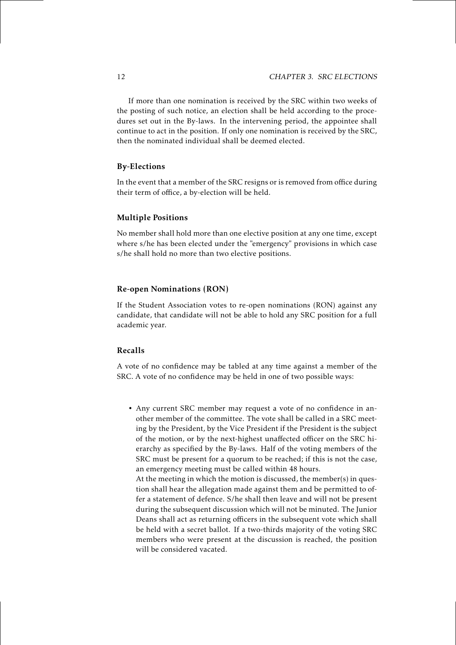If more than one nomination is received by the SRC within two weeks of the posting of such notice, an election shall be held according to the procedures set out in the By-laws. In the intervening period, the appointee shall continue to act in the position. If only one nomination is received by the SRC, then the nominated individual shall be deemed elected.

#### By-Elections

In the event that a member of the SRC resigns or is removed from office during their term of office, a by-election will be held.

#### Multiple Positions

No member shall hold more than one elective position at any one time, except where s/he has been elected under the "emergency" provisions in which case s/he shall hold no more than two elective positions.

#### Re-open Nominations (RON)

If the Student Association votes to re-open nominations (RON) against any candidate, that candidate will not be able to hold any SRC position for a full academic year.

#### Recalls

A vote of no confidence may be tabled at any time against a member of the SRC. A vote of no confidence may be held in one of two possible ways:

• Any current SRC member may request a vote of no confidence in another member of the committee. The vote shall be called in a SRC meeting by the President, by the Vice President if the President is the subject of the motion, or by the next-highest unaffected officer on the SRC hierarchy as specified by the By-laws. Half of the voting members of the SRC must be present for a quorum to be reached; if this is not the case, an emergency meeting must be called within 48 hours.

At the meeting in which the motion is discussed, the member(s) in question shall hear the allegation made against them and be permitted to offer a statement of defence. S/he shall then leave and will not be present during the subsequent discussion which will not be minuted. The Junior Deans shall act as returning officers in the subsequent vote which shall be held with a secret ballot. If a two-thirds majority of the voting SRC members who were present at the discussion is reached, the position will be considered vacated.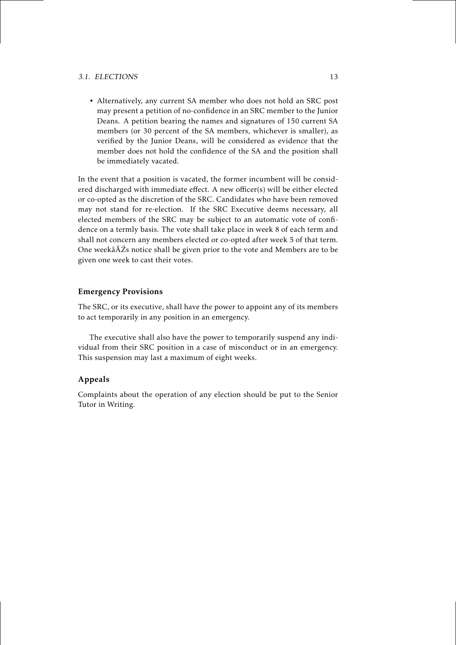#### 3.1. ELECTIONS 13

• Alternatively, any current SA member who does not hold an SRC post may present a petition of no-confidence in an SRC member to the Junior Deans. A petition bearing the names and signatures of 150 current SA members (or 30 percent of the SA members, whichever is smaller), as verified by the Junior Deans, will be considered as evidence that the member does not hold the confidence of the SA and the position shall be immediately vacated.

In the event that a position is vacated, the former incumbent will be considered discharged with immediate effect. A new officer(s) will be either elected or co-opted as the discretion of the SRC. Candidates who have been removed may not stand for re-election. If the SRC Executive deems necessary, all elected members of the SRC may be subject to an automatic vote of confidence on a termly basis. The vote shall take place in week 8 of each term and shall not concern any members elected or co-opted after week 5 of that term. One weekâĂŹs notice shall be given prior to the vote and Members are to be given one week to cast their votes.

#### Emergency Provisions

The SRC, or its executive, shall have the power to appoint any of its members to act temporarily in any position in an emergency.

The executive shall also have the power to temporarily suspend any individual from their SRC position in a case of misconduct or in an emergency. This suspension may last a maximum of eight weeks.

#### Appeals

Complaints about the operation of any election should be put to the Senior Tutor in Writing.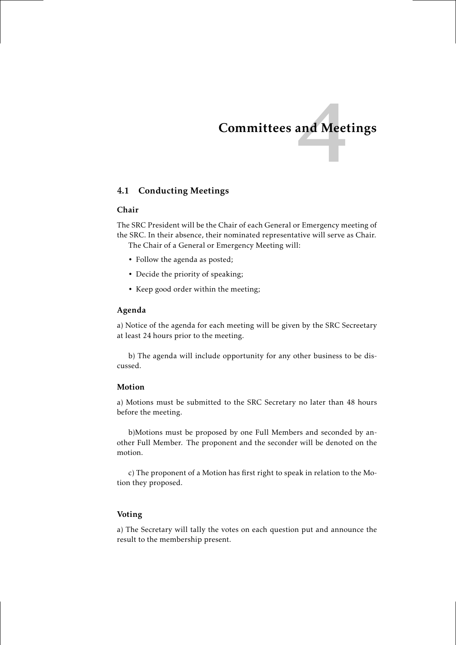# and Meet Committees and Meetings

#### 4.1 Conducting Meetings

#### Chair

The SRC President will be the Chair of each General or Emergency meeting of the SRC. In their absence, their nominated representative will serve as Chair.

The Chair of a General or Emergency Meeting will:

- Follow the agenda as posted;
- Decide the priority of speaking;
- Keep good order within the meeting;

#### Agenda

a) Notice of the agenda for each meeting will be given by the SRC Secreetary at least 24 hours prior to the meeting.

b) The agenda will include opportunity for any other business to be discussed.

#### Motion

a) Motions must be submitted to the SRC Secretary no later than 48 hours before the meeting.

b)Motions must be proposed by one Full Members and seconded by another Full Member. The proponent and the seconder will be denoted on the motion.

c) The proponent of a Motion has first right to speak in relation to the Motion they proposed.

#### Voting

a) The Secretary will tally the votes on each question put and announce the result to the membership present.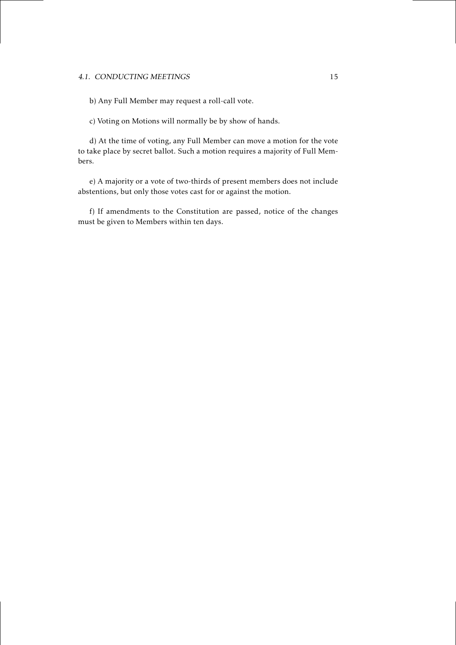#### 4.1. CONDUCTING MEETINGS 15

b) Any Full Member may request a roll-call vote.

c) Voting on Motions will normally be by show of hands.

d) At the time of voting, any Full Member can move a motion for the vote to take place by secret ballot. Such a motion requires a majority of Full Members.

e) A majority or a vote of two-thirds of present members does not include abstentions, but only those votes cast for or against the motion.

f) If amendments to the Constitution are passed, notice of the changes must be given to Members within ten days.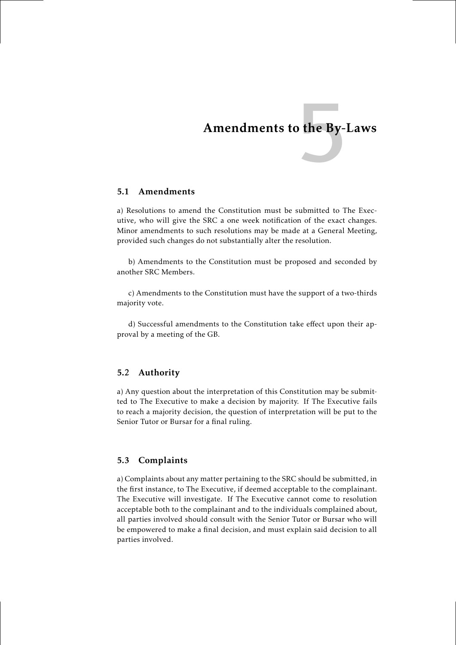# $\frac{1}{2}$  the By-Amendments to the By-Laws

#### 5.1 Amendments

a) Resolutions to amend the Constitution must be submitted to The Executive, who will give the SRC a one week notification of the exact changes. Minor amendments to such resolutions may be made at a General Meeting, provided such changes do not substantially alter the resolution.

b) Amendments to the Constitution must be proposed and seconded by another SRC Members.

c) Amendments to the Constitution must have the support of a two-thirds majority vote.

d) Successful amendments to the Constitution take effect upon their approval by a meeting of the GB.

#### 5.2 Authority

a) Any question about the interpretation of this Constitution may be submitted to The Executive to make a decision by majority. If The Executive fails to reach a majority decision, the question of interpretation will be put to the Senior Tutor or Bursar for a final ruling.

#### 5.3 Complaints

a) Complaints about any matter pertaining to the SRC should be submitted, in the first instance, to The Executive, if deemed acceptable to the complainant. The Executive will investigate. If The Executive cannot come to resolution acceptable both to the complainant and to the individuals complained about, all parties involved should consult with the Senior Tutor or Bursar who will be empowered to make a final decision, and must explain said decision to all parties involved.